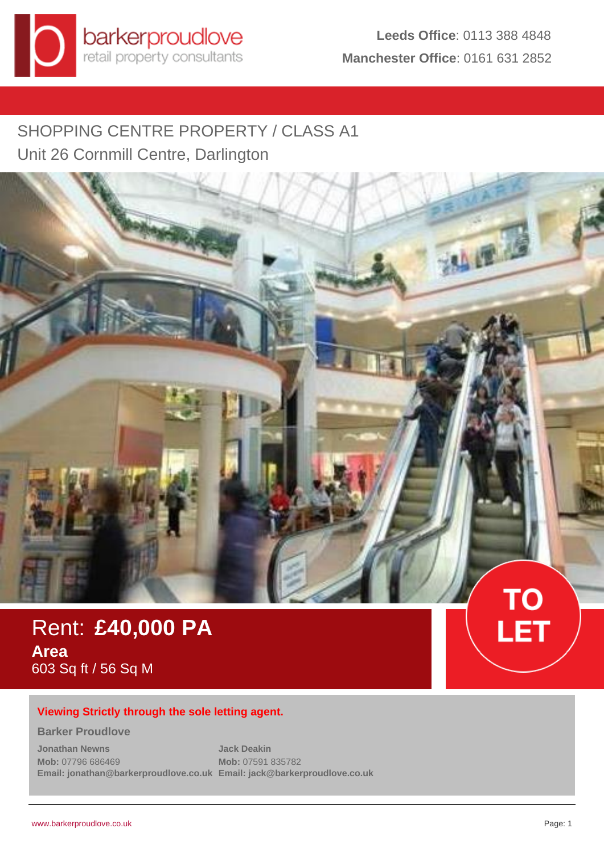# SHOPPING CENTRE PROPERTY / CLASS A1 Unit 26 Cornmill Centre, Darlington



Rent: **£40,000 PA Area** 603 Sq ft / 56 Sq M

## **Viewing Strictly through the sole letting agent.**

#### **Barker Proudlove**

**Jonathan Newns Mob:** 07796 686469 **Email: jonathan@barkerproudlove.co.uk Email: jack@barkerproudlove.co.uk Jack Deakin Mob:** 07591 835782